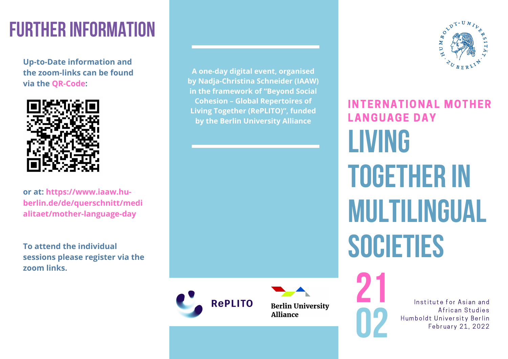# **FURTHER INFORMATION**

**Up-to-Date information and the zoom-links can be found via the QR-Code:**



**or at: https://www.iaaw.huberlin.de/de/querschnitt/medi alitaet/mother-language-day**

**To attend the individual sessions please register via the zoom links.**

**A one-day digital event, organised by Nadja-Christina Schneider (IAAW) in the framework of "Beyond Social Cohesion – Global Repertoires of Living Together (RePLITO)", funded by the Berlin University Alliance**



**Berlin University Alliance** 



**Living Together in Multilingual Societies** INTERNATIONAL MOTHER LANGUAGE DAY

**21**

**02**

Institute for Asian and African Studies Humboldt University Berlin February 21, 2022